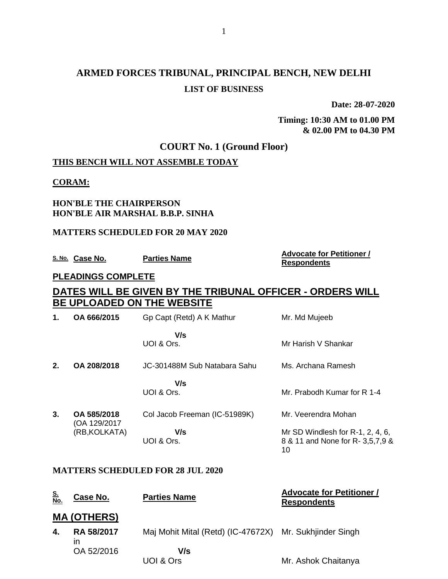## **ARMED FORCES TRIBUNAL, PRINCIPAL BENCH, NEW DELHI LIST OF BUSINESS**

**Date: 28-07-2020**

**Timing: 10:30 AM to 01.00 PM & 02.00 PM to 04.30 PM**

### **COURT No. 1 (Ground Floor)**

#### **THIS BENCH WILL NOT ASSEMBLE TODAY**

#### **CORAM:**

#### **HON'BLE THE CHAIRPERSON HON'BLE AIR MARSHAL B.B.P. SINHA**

#### **MATTERS SCHEDULED FOR 20 MAY 2020**

**S. No. Case No. Parties Name Advocate for Petitioner / Advocate for Petitioner /** 

# **Respondents**

#### **PLEADINGS COMPLETE**

## **DATES WILL BE GIVEN BY THE TRIBUNAL OFFICER - ORDERS WILL BE UPLOADED ON THE WEBSITE**

| 1. | OA 666/2015                 | Gp Capt (Retd) A K Mathur     | Mr. Md Mujeeb                                                                 |
|----|-----------------------------|-------------------------------|-------------------------------------------------------------------------------|
|    |                             | V/s<br>UOI & Ors.             | Mr Harish V Shankar                                                           |
| 2. | OA 208/2018                 | JC-301488M Sub Natabara Sahu  | Ms. Archana Ramesh                                                            |
|    |                             | V/s<br>UOI & Ors.             | Mr. Prabodh Kumar for R 1-4                                                   |
| 3. | OA 585/2018<br>(OA 129/2017 | Col Jacob Freeman (IC-51989K) | Mr. Veerendra Mohan                                                           |
|    | (RB, KOLKATA)               | V/s<br>UOI & Ors.             | Mr SD Windlesh for $R-1$ , 2, 4, 6,<br>8 & 11 and None for R- 3,5,7,9 &<br>10 |

#### **MATTERS SCHEDULED FOR 28 JUL 2020**

| <u>S.</u><br><u>No.</u> | <u>Case No.</u>         | <b>Parties Name</b>                                     | <b>Advocate for Petitioner /</b><br><b>Respondents</b> |
|-------------------------|-------------------------|---------------------------------------------------------|--------------------------------------------------------|
|                         | <b>MA (OTHERS)</b>      |                                                         |                                                        |
| 4.                      | <b>RA 58/2017</b><br>ın | Maj Mohit Mital (Retd) (IC-47672X) Mr. Sukhjinder Singh |                                                        |
|                         | OA 52/2016              | V/s<br>UOI & Ors                                        | Mr. Ashok Chaitanya                                    |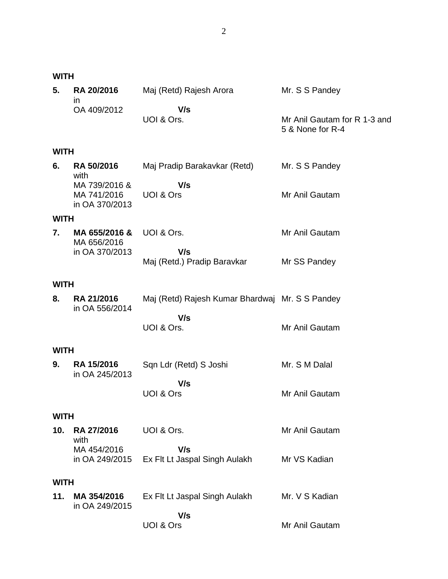**WITH**

| 5.          | <b>RA 20/2016</b><br>in.                       | Maj (Retd) Rajesh Arora                         | Mr. S S Pandey                                   |  |
|-------------|------------------------------------------------|-------------------------------------------------|--------------------------------------------------|--|
|             | OA 409/2012                                    | V/s<br>UOI & Ors.                               | Mr Anil Gautam for R 1-3 and<br>5 & None for R-4 |  |
| <b>WITH</b> |                                                |                                                 |                                                  |  |
| 6.          | <b>RA 50/2016</b><br>with                      | Maj Pradip Barakavkar (Retd)                    | Mr. S S Pandey                                   |  |
|             | MA 739/2016 &<br>MA 741/2016<br>in OA 370/2013 | V/s<br>UOI & Ors                                | Mr Anil Gautam                                   |  |
| <b>WITH</b> |                                                |                                                 |                                                  |  |
| 7.          | MA 655/2016 &<br>MA 656/2016                   | UOI & Ors.                                      | Mr Anil Gautam                                   |  |
|             | in OA 370/2013                                 | V/s<br>Maj (Retd.) Pradip Baravkar              | Mr SS Pandey                                     |  |
| <b>WITH</b> |                                                |                                                 |                                                  |  |
| 8.          | <b>RA 21/2016</b><br>in OA 556/2014            | Maj (Retd) Rajesh Kumar Bhardwaj Mr. S S Pandey |                                                  |  |
|             |                                                | V/s<br>UOI & Ors.                               | Mr Anil Gautam                                   |  |
| <b>WITH</b> |                                                |                                                 |                                                  |  |
| 9.          | <b>RA 15/2016</b><br>in OA 245/2013            | Sqn Ldr (Retd) S Joshi                          | Mr. S M Dalal                                    |  |
|             |                                                | V/s<br><b>UOI &amp; Ors</b>                     | Mr Anil Gautam                                   |  |
| <b>WITH</b> |                                                |                                                 |                                                  |  |
| 10.         | RA 27/2016<br>with                             | UOI & Ors.                                      | Mr Anil Gautam                                   |  |
|             | MA 454/2016<br>in OA 249/2015                  | V/s<br>Ex Flt Lt Jaspal Singh Aulakh            | Mr VS Kadian                                     |  |
| <b>WITH</b> |                                                |                                                 |                                                  |  |
| 11.         | MA 354/2016<br>in OA 249/2015                  | Ex Flt Lt Jaspal Singh Aulakh                   | Mr. V S Kadian                                   |  |
|             |                                                | V/s<br>UOI & Ors                                | Mr Anil Gautam                                   |  |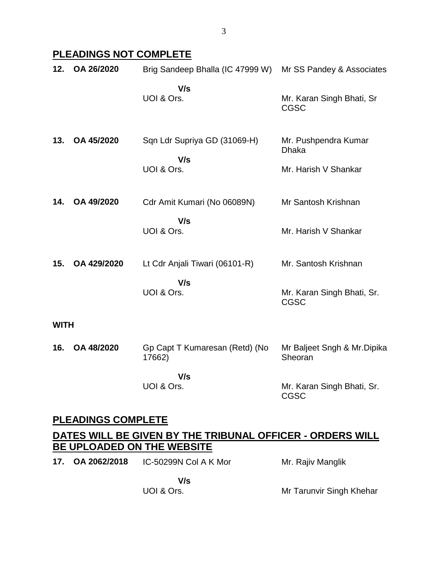## **PLEADINGS NOT COMPLETE**

| 12.                                                       | OA 26/2020  | Brig Sandeep Bhalla (IC 47999 W)         | Mr SS Pandey & Associates                 |
|-----------------------------------------------------------|-------------|------------------------------------------|-------------------------------------------|
|                                                           |             | V/s<br>UOI & Ors.                        | Mr. Karan Singh Bhati, Sr<br><b>CGSC</b>  |
| 13.                                                       | OA 45/2020  | Sqn Ldr Supriya GD (31069-H)<br>V/s      | Mr. Pushpendra Kumar<br><b>Dhaka</b>      |
|                                                           |             | UOI & Ors.                               | Mr. Harish V Shankar                      |
| 14.                                                       | OA 49/2020  | Cdr Amit Kumari (No 06089N)              | Mr Santosh Krishnan                       |
|                                                           |             | V/s<br>UOI & Ors.                        | Mr. Harish V Shankar                      |
| 15.                                                       | OA 429/2020 | Lt Cdr Anjali Tiwari (06101-R)<br>V/s    | Mr. Santosh Krishnan                      |
|                                                           |             | UOI & Ors.                               | Mr. Karan Singh Bhati, Sr.<br><b>CGSC</b> |
| <b>WITH</b>                                               |             |                                          |                                           |
| 16.                                                       | OA 48/2020  | Gp Capt T Kumaresan (Retd) (No<br>17662) | Mr Baljeet Sngh & Mr. Dipika<br>Sheoran   |
|                                                           |             | V/s<br>UOI & Ors.                        | Mr. Karan Singh Bhati, Sr.<br><b>CGSC</b> |
| <b>PLEADINGS COMPLETE</b>                                 |             |                                          |                                           |
| DATES WILL BE GIVEN BY THE TRIBUNAL OFFICER - ORDERS WILL |             |                                          |                                           |

## **BE UPLOADED ON THE WEBSITE 17. OA 2062/2018** IC-50299N Col A K Mor  **V/s** Mr. Rajiv Manglik

UOI & Ors.

Mr Tarunvir Singh Khehar

3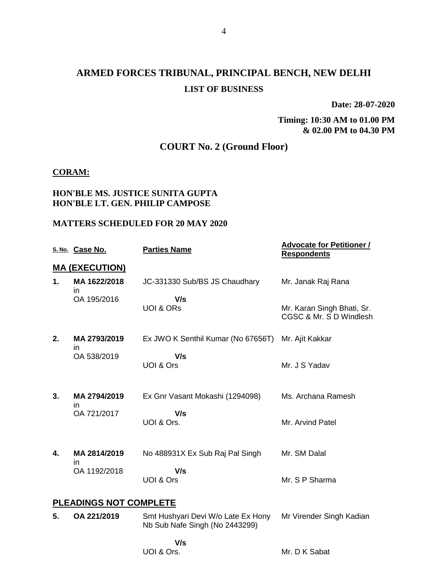## **ARMED FORCES TRIBUNAL, PRINCIPAL BENCH, NEW DELHI LIST OF BUSINESS**

4

**Date: 28-07-2020**

**Timing: 10:30 AM to 01.00 PM & 02.00 PM to 04.30 PM**

Mr. D K Sabat

## **COURT No. 2 (Ground Floor)**

#### **CORAM:**

#### **HON'BLE MS. JUSTICE SUNITA GUPTA HON'BLE LT. GEN. PHILIP CAMPOSE**

#### **MATTERS SCHEDULED FOR 20 MAY 2020**

|    | S. No. Case No.               | <b>Parties Name</b>                                                  | <b>Advocate for Petitioner /</b><br><b>Respondents</b> |
|----|-------------------------------|----------------------------------------------------------------------|--------------------------------------------------------|
|    | <b>MA (EXECUTION)</b>         |                                                                      |                                                        |
| 1. | MA 1622/2018                  | JC-331330 Sub/BS JS Chaudhary                                        | Mr. Janak Raj Rana                                     |
|    | ın<br>OA 195/2016             | V/s<br><b>UOI &amp; ORS</b>                                          | Mr. Karan Singh Bhati, Sr.<br>CGSC & Mr. S D Windlesh  |
| 2. | MA 2793/2019                  | Ex JWO K Senthil Kumar (No 67656T)                                   | Mr. Ajit Kakkar                                        |
|    | in.<br>OA 538/2019            | V/s<br>UOI & Ors                                                     | Mr. J S Yadav                                          |
| 3. | MA 2794/2019                  | Ex Gnr Vasant Mokashi (1294098)                                      | Ms. Archana Ramesh                                     |
|    | in.<br>OA 721/2017            | V/s<br>UOI & Ors.                                                    | Mr. Arvind Patel                                       |
| 4. | MA 2814/2019                  | No 488931X Ex Sub Raj Pal Singh                                      | Mr. SM Dalal                                           |
|    | in.<br>OA 1192/2018           | V/s<br>UOI & Ors                                                     | Mr. S P Sharma                                         |
|    | <b>PLEADINGS NOT COMPLETE</b> |                                                                      |                                                        |
| 5. | OA 221/2019                   | Smt Hushyari Devi W/o Late Ex Hony<br>Nb Sub Nafe Singh (No 2443299) | Mr Virender Singh Kadian                               |
|    |                               | V/s                                                                  |                                                        |

UOI & Ors.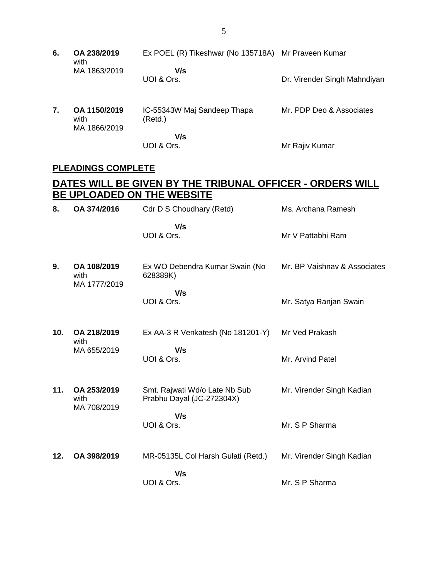- **6. OA 238/2019** with MA 1863/2019 Ex POEL (R) Tikeshwar (No 135718A) Mr Praveen Kumar  **V/s** UOI & Ors. Dr. Virender Singh Mahndiyan **7. OA 1150/2019** with MA 1866/2019 IC-55343W Maj Sandeep Thapa (Retd.)  **V/s** UOI & Ors. Mr. PDP Deo & Associates Mr Rajiv Kumar **PLEADINGS COMPLETE DATES WILL BE GIVEN BY THE TRIBUNAL OFFICER - ORDERS WILL BE UPLOADED ON THE WEBSITE 8. OA 374/2016** Cdr D S Choudhary (Retd)  **V/s** UOI & Ors. Ms. Archana Ramesh Mr V Pattabhi Ram **9. OA 108/2019** with MA 1777/2019 Ex WO Debendra Kumar Swain (No 628389K)  **V/s** UOI & Ors. Mr. BP Vaishnav & Associates Mr. Satya Ranjan Swain
- **10. OA 218/2019** with MA 655/2019 Ex AA-3 R Venkatesh (No 181201-Y)  **V/s** UOI & Ors. Mr Ved Prakash Mr. Arvind Patel
- **11. OA 253/2019** with MA 708/2019 Smt. Rajwati Wd/o Late Nb Sub Prabhu Dayal (JC-272304X)  **V/s** UOI & Ors. Mr. Virender Singh Kadian Mr. S P Sharma
- **12. OA 398/2019** MR-05135L Col Harsh Gulati (Retd.)  **V/s** UOI & Ors. Mr. Virender Singh Kadian Mr. S P Sharma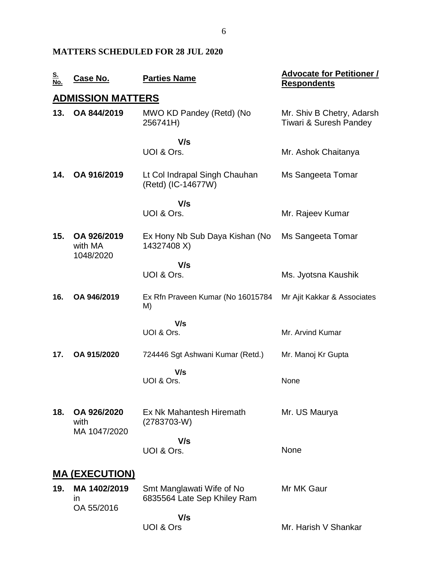### **MATTERS SCHEDULED FOR 28 JUL 2020**

| <u>S.<br/>No.</u> | Case No.                                   | <b>Parties Name</b>                                      | <b>Advocate for Petitioner /</b><br><b>Respondents</b>         |
|-------------------|--------------------------------------------|----------------------------------------------------------|----------------------------------------------------------------|
|                   | <b>ADMISSION MATTERS</b>                   |                                                          |                                                                |
| 13.               | OA 844/2019                                | MWO KD Pandey (Retd) (No<br>256741H)                     | Mr. Shiv B Chetry, Adarsh<br><b>Tiwari &amp; Suresh Pandey</b> |
|                   |                                            | V/s<br>UOI & Ors.                                        | Mr. Ashok Chaitanya                                            |
| 14.               | OA 916/2019                                | Lt Col Indrapal Singh Chauhan<br>(Retd) (IC-14677W)      | Ms Sangeeta Tomar                                              |
|                   |                                            | V/s                                                      |                                                                |
|                   |                                            | UOI & Ors.                                               | Mr. Rajeev Kumar                                               |
| 15.               | OA 926/2019<br>with MA<br>1048/2020        | Ex Hony Nb Sub Daya Kishan (No<br>14327408 X)            | Ms Sangeeta Tomar                                              |
|                   |                                            | V/s<br>UOI & Ors.                                        | Ms. Jyotsna Kaushik                                            |
| 16.               | OA 946/2019                                | Ex Rfn Praveen Kumar (No 16015784<br>M)                  | Mr Ajit Kakkar & Associates                                    |
|                   |                                            | V/s<br>UOI & Ors.                                        | Mr. Arvind Kumar                                               |
| 17.               | OA 915/2020                                | 724446 Sgt Ashwani Kumar (Retd.)                         | Mr. Manoj Kr Gupta                                             |
|                   |                                            | V/s<br>UOI & Ors.                                        | None                                                           |
| 18.               | OA 926/2020<br>with<br>MA 1047/2020        | Ex Nk Mahantesh Hiremath<br>$(2783703-W)$                | Mr. US Maurya                                                  |
|                   |                                            | V/s<br>UOI & Ors.                                        | None                                                           |
|                   | <u>MA (EXECUTION)</u>                      |                                                          |                                                                |
| 19.               | MA 1402/2019<br>$\mathsf{I}$<br>OA 55/2016 | Smt Manglawati Wife of No<br>6835564 Late Sep Khiley Ram | Mr MK Gaur                                                     |
|                   |                                            | V/s<br>UOI & Ors                                         | Mr. Harish V Shankar                                           |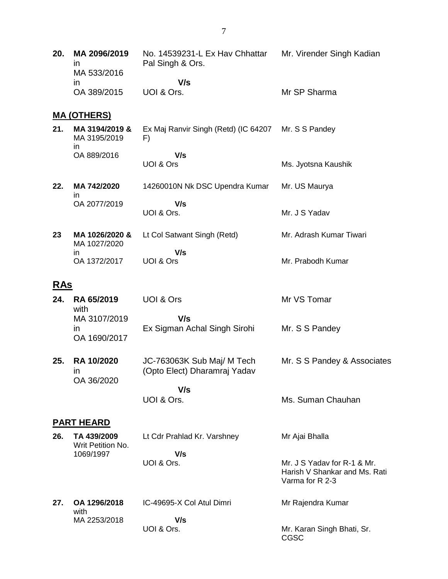| 20.        | MA 2096/2019<br>$\mathsf{I}$<br>MA 533/2016 | No. 14539231-L Ex Hav Chhattar<br>Pal Singh & Ors.         | Mr. Virender Singh Kadian                                                       |
|------------|---------------------------------------------|------------------------------------------------------------|---------------------------------------------------------------------------------|
|            | $\mathsf{I}$                                | V/s                                                        |                                                                                 |
|            | OA 389/2015                                 | UOI & Ors.                                                 | Mr SP Sharma                                                                    |
|            | <u>MA (OTHERS)</u>                          |                                                            |                                                                                 |
| 21.        | MA 3194/2019 &<br>MA 3195/2019<br>in.       | Ex Maj Ranvir Singh (Retd) (IC 64207 Mr. S S Pandey<br>F)  |                                                                                 |
|            | OA 889/2016                                 | V/s<br>UOI & Ors                                           | Ms. Jyotsna Kaushik                                                             |
| 22.        | MA 742/2020<br>ın                           | 14260010N Nk DSC Upendra Kumar                             | Mr. US Maurya                                                                   |
|            | OA 2077/2019                                | V/s<br>UOI & Ors.                                          | Mr. J S Yadav                                                                   |
| 23         | MA 1026/2020 &<br>MA 1027/2020              | Lt Col Satwant Singh (Retd)                                | Mr. Adrash Kumar Tiwari                                                         |
|            | in.<br>OA 1372/2017                         | V/s<br>UOI & Ors                                           | Mr. Prabodh Kumar                                                               |
| <u>RAs</u> |                                             |                                                            |                                                                                 |
| 24.        | RA 65/2019<br>with                          | UOI & Ors                                                  | Mr VS Tomar                                                                     |
|            | MA 3107/2019<br>in.<br>OA 1690/2017         | V/s<br>Ex Sigman Achal Singh Sirohi                        | Mr. S S Pandey                                                                  |
| 25.        | <b>RA 10/2020</b><br>ın<br>OA 36/2020       | JC-763063K Sub Maj/ M Tech<br>(Opto Elect) Dharamraj Yadav | Mr. S S Pandey & Associates                                                     |
|            |                                             | V/s<br>UOI & Ors.                                          | Ms. Suman Chauhan                                                               |
|            | <b>PART HEARD</b>                           |                                                            |                                                                                 |
| 26.        | TA 439/2009<br>Writ Petition No.            | Lt Cdr Prahlad Kr. Varshney                                | Mr Ajai Bhalla                                                                  |
|            | 1069/1997                                   | V/s<br>UOI & Ors.                                          | Mr. J S Yadav for R-1 & Mr.<br>Harish V Shankar and Ms. Rati<br>Varma for R 2-3 |
| 27.        | OA 1296/2018<br>with                        | IC-49695-X Col Atul Dimri                                  | Mr Rajendra Kumar                                                               |
|            | MA 2253/2018                                | V/s<br>UOI & Ors.                                          | Mr. Karan Singh Bhati, Sr.<br>CGSC                                              |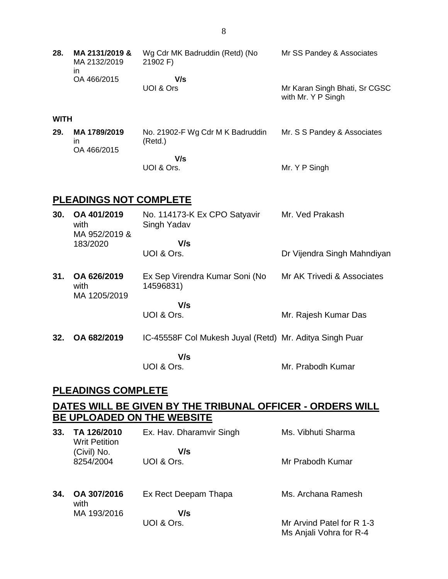| 28.         | MA 2131/2019 &<br>MA 2132/2019<br>in | Wg Cdr MK Badruddin (Retd) (No<br>21902 F)  | Mr SS Pandey & Associates                           |
|-------------|--------------------------------------|---------------------------------------------|-----------------------------------------------------|
|             | OA 466/2015                          | V/s<br>UOI & Ors                            | Mr Karan Singh Bhati, Sr CGSC<br>with Mr. Y P Singh |
| <b>WITH</b> |                                      |                                             |                                                     |
| 29.         | MA 1789/2019<br>ın<br>OA 466/2015    | No. 21902-F Wg Cdr M K Badruddin<br>(Retd.) | Mr. S S Pandey & Associates                         |
|             |                                      | $\mathbf{u}$                                |                                                     |

#### **V/s** UOI & Ors.

## **PLEADINGS NOT COMPLETE**

| 30. | OA 401/2019<br>with<br>MA 952/2019 &<br>183/2020 | No. 114173-K Ex CPO Satyavir<br>Singh Yadav             | Mr. Ved Prakash             |
|-----|--------------------------------------------------|---------------------------------------------------------|-----------------------------|
|     |                                                  | V/s<br>UOI & Ors.                                       | Dr Vijendra Singh Mahndiyan |
| 31. | OA 626/2019<br>with<br>MA 1205/2019              | Ex Sep Virendra Kumar Soni (No<br>14596831)             | Mr AK Trivedi & Associates  |
|     |                                                  | V/s<br>UOI & Ors.                                       | Mr. Rajesh Kumar Das        |
| 32. | OA 682/2019                                      | IC-45558F Col Mukesh Juyal (Retd) Mr. Aditya Singh Puar |                             |

 **V/s** UOI & Ors.

Mr. Prabodh Kumar

Mr. Y P Singh

### **PLEADINGS COMPLETE**

## **DATES WILL BE GIVEN BY THE TRIBUNAL OFFICER - ORDERS WILL BE UPLOADED ON THE WEBSITE**

| 33. | TA 126/2010<br><b>Writ Petition</b> | Ex. Hav. Dharamvir Singh | Ms. Vibhuti Sharma        |
|-----|-------------------------------------|--------------------------|---------------------------|
|     | (Civil) No.<br>8254/2004            | V/s<br>UOI & Ors.        | Mr Prabodh Kumar          |
| 34. | OA 307/2016<br>with                 | Ex Rect Deepam Thapa     | Ms. Archana Ramesh        |
|     | MA 193/2016                         | V/s                      |                           |
|     |                                     | UOI & Ors.               | Mr Arvind Patel for R 1-3 |
|     |                                     |                          | Ms Anjali Vohra for R-4   |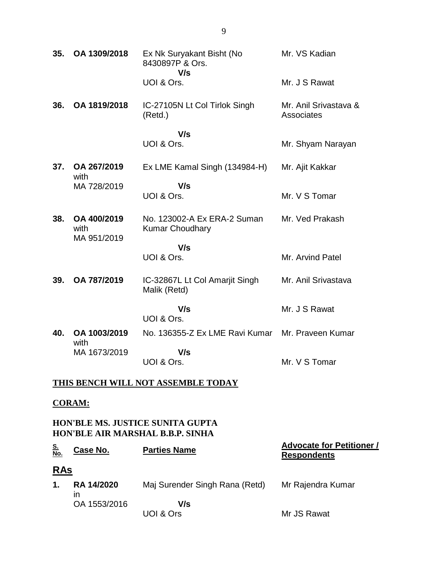| 35. | OA 1309/2018                       | Ex Nk Suryakant Bisht (No<br>8430897P & Ors.<br>V/s   | Mr. VS Kadian                       |
|-----|------------------------------------|-------------------------------------------------------|-------------------------------------|
|     |                                    | UOI & Ors.                                            | Mr. J S Rawat                       |
| 36. | OA 1819/2018                       | IC-27105N Lt Col Tirlok Singh<br>(Retd.)              | Mr. Anil Srivastava &<br>Associates |
|     |                                    | V/s<br>UOI & Ors.                                     | Mr. Shyam Narayan                   |
| 37. | OA 267/2019<br>with                | Ex LME Kamal Singh (134984-H)                         | Mr. Ajit Kakkar                     |
|     | MA 728/2019                        | V/s<br>UOI & Ors.                                     | Mr. V S Tomar                       |
| 38. | OA 400/2019<br>with<br>MA 951/2019 | No. 123002-A Ex ERA-2 Suman<br><b>Kumar Choudhary</b> | Mr. Ved Prakash                     |
|     |                                    | V/s<br>UOI & Ors.                                     | Mr. Arvind Patel                    |
| 39. | OA 787/2019                        | IC-32867L Lt Col Amarjit Singh<br>Malik (Retd)        | Mr. Anil Srivastava                 |
|     |                                    | V/s<br>UOI & Ors.                                     | Mr. J S Rawat                       |
| 40. | OA 1003/2019<br>with               | No. 136355-Z Ex LME Ravi Kumar Mr. Praveen Kumar      |                                     |
|     | MA 1673/2019                       | V/s<br>UOI & Ors.                                     | Mr. V S Tomar                       |

## **THIS BENCH WILL NOT ASSEMBLE TODAY**

#### **CORAM:**

### **HON'BLE MS. JUSTICE SUNITA GUPTA HON'BLE AIR MARSHAL B.B.P. SINHA**

| <u>S.<br/>No.</u> | Case No.                | <b>Parties Name</b>            | <b>Advocate for Petitioner /</b><br><b>Respondents</b> |
|-------------------|-------------------------|--------------------------------|--------------------------------------------------------|
| <b>RAs</b>        |                         |                                |                                                        |
| 1.                | <b>RA 14/2020</b><br>ın | Maj Surender Singh Rana (Retd) | Mr Rajendra Kumar                                      |
|                   | OA 1553/2016            | V/s<br>UOI & Ors               | Mr JS Rawat                                            |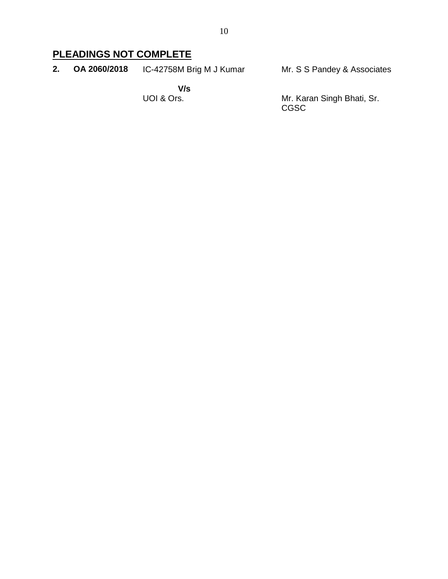## **PLEADINGS NOT COMPLETE**

**2. OA 2060/2018** IC-42758M Brig M J Kumar Mr. S S Pandey & Associates

 **V/s** UOI & Ors.

Mr. Karan Singh Bhati, Sr. CGSC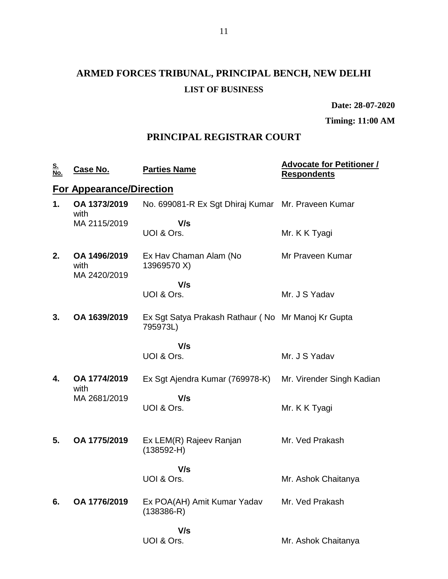## **ARMED FORCES TRIBUNAL, PRINCIPAL BENCH, NEW DELHI LIST OF BUSINESS**

**Date: 28-07-2020**

**Timing: 11:00 AM**

## **PRINCIPAL REGISTRAR COURT**

| <u>S.</u><br><u>No.</u>         | <u>Case No.</u>      | <b>Parties Name</b>                                            | <b>Advocate for Petitioner /</b><br><b>Respondents</b> |  |  |  |
|---------------------------------|----------------------|----------------------------------------------------------------|--------------------------------------------------------|--|--|--|
| <b>For Appearance/Direction</b> |                      |                                                                |                                                        |  |  |  |
| 1.                              | OA 1373/2019<br>with | No. 699081-R Ex Sgt Dhiraj Kumar Mr. Praveen Kumar             |                                                        |  |  |  |
|                                 | MA 2115/2019         | V/s<br>UOI & Ors.                                              | Mr. K K Tyagi                                          |  |  |  |
| 2.                              | OA 1496/2019<br>with | Ex Hav Chaman Alam (No<br>13969570 X)                          | Mr Praveen Kumar                                       |  |  |  |
|                                 | MA 2420/2019         | V/s                                                            |                                                        |  |  |  |
|                                 |                      | UOI & Ors.                                                     | Mr. J S Yadav                                          |  |  |  |
| 3.                              | OA 1639/2019         | Ex Sgt Satya Prakash Rathaur (No Mr Manoj Kr Gupta<br>795973L) |                                                        |  |  |  |
|                                 |                      | V/s                                                            |                                                        |  |  |  |
|                                 |                      | UOI & Ors.                                                     | Mr. J S Yadav                                          |  |  |  |
| 4.                              | OA 1774/2019<br>with | Ex Sgt Ajendra Kumar (769978-K)                                | Mr. Virender Singh Kadian                              |  |  |  |
|                                 | MA 2681/2019         | V/s                                                            |                                                        |  |  |  |
|                                 |                      | UOI & Ors.                                                     | Mr. K K Tyagi                                          |  |  |  |
| 5.                              | OA 1775/2019         | Ex LEM(R) Rajeev Ranjan                                        | Mr. Ved Prakash                                        |  |  |  |
|                                 |                      | $(138592 - H)$                                                 |                                                        |  |  |  |
|                                 |                      | V/s                                                            |                                                        |  |  |  |
|                                 |                      | UOI & Ors.                                                     | Mr. Ashok Chaitanya                                    |  |  |  |
| 6.                              | OA 1776/2019         | Ex POA(AH) Amit Kumar Yadav<br>$(138386 - R)$                  | Mr. Ved Prakash                                        |  |  |  |
|                                 |                      | V/s                                                            |                                                        |  |  |  |
|                                 |                      | UOI & Ors.                                                     | Mr. Ashok Chaitanya                                    |  |  |  |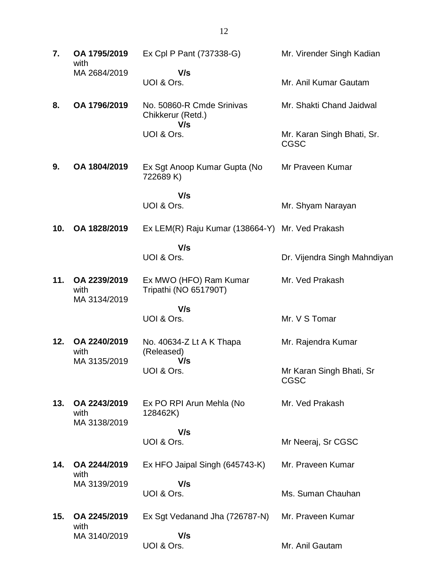| 7.  | OA 1795/2019<br>with                 | Ex Cpl P Pant (737338-G)                        | Mr. Virender Singh Kadian                 |
|-----|--------------------------------------|-------------------------------------------------|-------------------------------------------|
|     | MA 2684/2019                         | V/s<br>UOI & Ors.                               | Mr. Anil Kumar Gautam                     |
| 8.  | OA 1796/2019                         | No. 50860-R Cmde Srinivas<br>Chikkerur (Retd.)  | Mr. Shakti Chand Jaidwal                  |
|     |                                      | V/s<br>UOI & Ors.                               | Mr. Karan Singh Bhati, Sr.<br><b>CGSC</b> |
| 9.  | OA 1804/2019                         | Ex Sgt Anoop Kumar Gupta (No<br>722689 K)       | Mr Praveen Kumar                          |
|     |                                      | V/s                                             |                                           |
|     |                                      | UOI & Ors.                                      | Mr. Shyam Narayan                         |
| 10. | OA 1828/2019                         | Ex LEM(R) Raju Kumar (138664-Y) Mr. Ved Prakash |                                           |
|     |                                      | V/s                                             |                                           |
|     |                                      | UOI & Ors.                                      | Dr. Vijendra Singh Mahndiyan              |
| 11. | OA 2239/2019<br>with<br>MA 3134/2019 | Ex MWO (HFO) Ram Kumar<br>Tripathi (NO 651790T) | Mr. Ved Prakash                           |
|     |                                      | V/s                                             |                                           |
|     |                                      | UOI & Ors.                                      | Mr. V S Tomar                             |
| 12. | OA 2240/2019<br>with<br>MA 3135/2019 | No. 40634-Z Lt A K Thapa<br>(Released)          | Mr. Rajendra Kumar                        |
|     |                                      | V/s<br>UOI & Ors.                               | Mr Karan Singh Bhati, Sr<br><b>CGSC</b>   |
| 13. | OA 2243/2019<br>with                 | Ex PO RPI Arun Mehla (No<br>128462K)            | Mr. Ved Prakash                           |
|     | MA 3138/2019                         | V/s                                             |                                           |
|     |                                      | UOI & Ors.                                      | Mr Neeraj, Sr CGSC                        |
| 14. | OA 2244/2019<br>with                 | Ex HFO Jaipal Singh (645743-K)                  | Mr. Praveen Kumar                         |
|     | MA 3139/2019                         | V/s                                             |                                           |
|     |                                      | UOI & Ors.                                      | Ms. Suman Chauhan                         |
| 15. | OA 2245/2019<br>with                 | Ex Sgt Vedanand Jha (726787-N)                  | Mr. Praveen Kumar                         |
|     | MA 3140/2019                         | V/s<br>UOI & Ors.                               | Mr. Anil Gautam                           |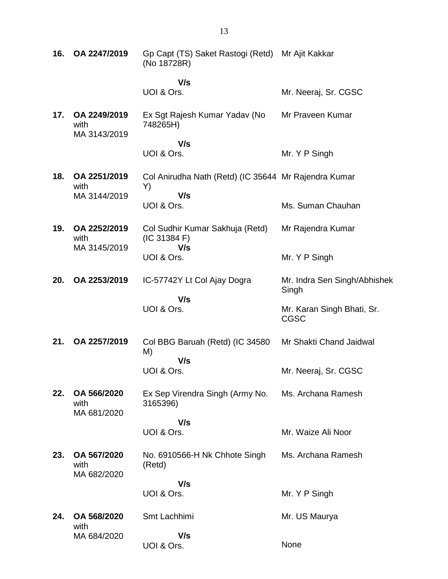| 16. | OA 2247/2019                         | Gp Capt (TS) Saket Rastogi (Retd) Mr Ajit Kakkar<br>(No 18728R)   |                                           |
|-----|--------------------------------------|-------------------------------------------------------------------|-------------------------------------------|
|     |                                      | V/s<br>UOI & Ors.                                                 | Mr. Neeraj, Sr. CGSC                      |
| 17. | OA 2249/2019<br>with<br>MA 3143/2019 | Ex Sgt Rajesh Kumar Yadav (No<br>748265H)                         | Mr Praveen Kumar                          |
|     |                                      | V/s<br>UOI & Ors.                                                 | Mr. Y P Singh                             |
| 18. | OA 2251/2019<br>with<br>MA 3144/2019 | Col Anirudha Nath (Retd) (IC 35644 Mr Rajendra Kumar<br>Y)<br>V/s |                                           |
|     |                                      | UOI & Ors.                                                        | Ms. Suman Chauhan                         |
| 19. | OA 2252/2019<br>with<br>MA 3145/2019 | Col Sudhir Kumar Sakhuja (Retd)<br>(IC 31384 F)<br>V/s            | Mr Rajendra Kumar                         |
|     |                                      | UOI & Ors.                                                        | Mr. Y P Singh                             |
| 20. | OA 2253/2019                         | IC-57742Y Lt Col Ajay Dogra                                       | Mr. Indra Sen Singh/Abhishek<br>Singh     |
|     |                                      | V/s<br>UOI & Ors.                                                 | Mr. Karan Singh Bhati, Sr.<br><b>CGSC</b> |
| 21. | OA 2257/2019                         | Col BBG Baruah (Retd) (IC 34580<br>M)                             | Mr Shakti Chand Jaidwal                   |
|     |                                      | V/s<br>UOI & Ors.                                                 | Mr. Neeraj, Sr. CGSC                      |
| 22. | OA 566/2020<br>with<br>MA 681/2020   | Ex Sep Virendra Singh (Army No.<br>3165396)                       | Ms. Archana Ramesh                        |
|     |                                      | V/s<br>UOI & Ors.                                                 | Mr. Waize Ali Noor                        |
| 23. | OA 567/2020<br>with<br>MA 682/2020   | No. 6910566-H Nk Chhote Singh<br>(Retd)                           | Ms. Archana Ramesh                        |
|     |                                      | V/s                                                               |                                           |
|     |                                      | UOI & Ors.                                                        | Mr. Y P Singh                             |
| 24. | OA 568/2020<br>with                  | Smt Lachhimi                                                      | Mr. US Maurya                             |
|     | MA 684/2020                          | V/s<br>UOI & Ors.                                                 | None                                      |